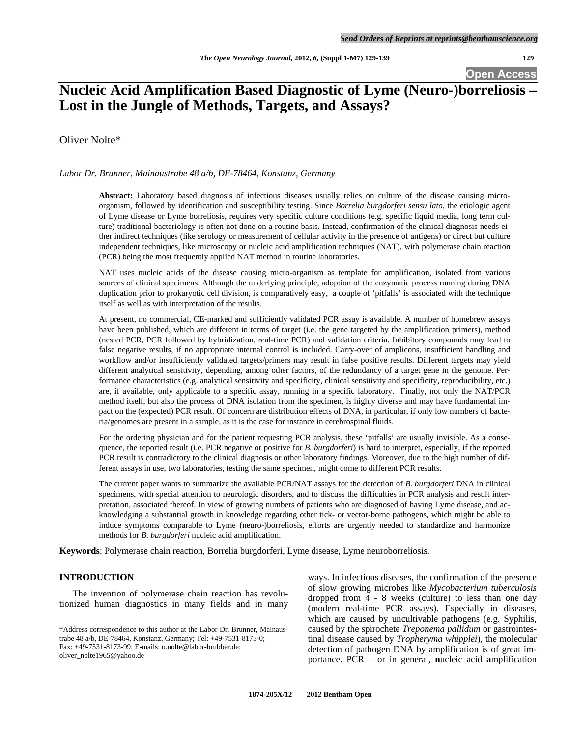**Open Access** 

# **Nucleic Acid Amplification Based Diagnostic of Lyme (Neuro-)borreliosis – Lost in the Jungle of Methods, Targets, and Assays?**

Oliver Nolte\*

## *Labor Dr. Brunner, Mainaustrabe 48 a/b, DE-78464, Konstanz, Germany*

**Abstract:** Laboratory based diagnosis of infectious diseases usually relies on culture of the disease causing microorganism, followed by identification and susceptibility testing. Since *Borrelia burgdorferi sensu lato*, the etiologic agent of Lyme disease or Lyme borreliosis, requires very specific culture conditions (e.g. specific liquid media, long term culture) traditional bacteriology is often not done on a routine basis. Instead, confirmation of the clinical diagnosis needs either indirect techniques (like serology or measurement of cellular activity in the presence of antigens) or direct but culture independent techniques, like microscopy or nucleic acid amplification techniques (NAT), with polymerase chain reaction (PCR) being the most frequently applied NAT method in routine laboratories.

NAT uses nucleic acids of the disease causing micro-organism as template for amplification, isolated from various sources of clinical specimens. Although the underlying principle, adoption of the enzymatic process running during DNA duplication prior to prokaryotic cell division, is comparatively easy, a couple of 'pitfalls' is associated with the technique itself as well as with interpretation of the results.

At present, no commercial, CE-marked and sufficiently validated PCR assay is available. A number of homebrew assays have been published, which are different in terms of target (i.e. the gene targeted by the amplification primers), method (nested PCR, PCR followed by hybridization, real-time PCR) and validation criteria. Inhibitory compounds may lead to false negative results, if no appropriate internal control is included. Carry-over of amplicons, insufficient handling and workflow and/or insufficiently validated targets/primers may result in false positive results. Different targets may yield different analytical sensitivity, depending, among other factors, of the redundancy of a target gene in the genome. Performance characteristics (e.g. analytical sensitivity and specificity, clinical sensitivity and specificity, reproducibility, etc.) are, if available, only applicable to a specific assay, running in a specific laboratory. Finally, not only the NAT/PCR method itself, but also the process of DNA isolation from the specimen, is highly diverse and may have fundamental impact on the (expected) PCR result. Of concern are distribution effects of DNA, in particular, if only low numbers of bacteria/genomes are present in a sample, as it is the case for instance in cerebrospinal fluids.

For the ordering physician and for the patient requesting PCR analysis, these 'pitfalls' are usually invisible. As a consequence, the reported result (i.e. PCR negative or positive for *B. burgdorferi*) is hard to interpret, especially, if the reported PCR result is contradictory to the clinical diagnosis or other laboratory findings. Moreover, due to the high number of different assays in use, two laboratories, testing the same specimen, might come to different PCR results.

The current paper wants to summarize the available PCR/NAT assays for the detection of *B. burgdorferi* DNA in clinical specimens, with special attention to neurologic disorders, and to discuss the difficulties in PCR analysis and result interpretation, associated thereof. In view of growing numbers of patients who are diagnosed of having Lyme disease, and acknowledging a substantial growth in knowledge regarding other tick- or vector-borne pathogens, which might be able to induce symptoms comparable to Lyme (neuro-)borreliosis, efforts are urgently needed to standardize and harmonize methods for *B. burgdorferi* nucleic acid amplification.

**Keywords**: Polymerase chain reaction, Borrelia burgdorferi, Lyme disease, Lyme neuroborreliosis.

# **INTRODUCTION**

 The invention of polymerase chain reaction has revolutionized human diagnostics in many fields and in many ways. In infectious diseases, the confirmation of the presence of slow growing microbes like *Mycobacterium tuberculosis* dropped from 4 - 8 weeks (culture) to less than one day (modern real-time PCR assays). Especially in diseases, which are caused by uncultivable pathogens (e.g. Syphilis, caused by the spirochete *Treponema pallidum* or gastrointestinal disease caused by *Tropheryma whipplei*), the molecular detection of pathogen DNA by amplification is of great importance. PCR – or in general, **n**ucleic acid **a**mplification

<sup>\*</sup>Address correspondence to this author at the Labor Dr. Brunner, Mainaustrabe 48 a/b, DE-78464, Konstanz, Germany; Tel: +49-7531-8173-0; Fax: +49-7531-8173-99; E-mails: o.nolte@labor-brubber.de; oliver\_nolte1965@yahoo.de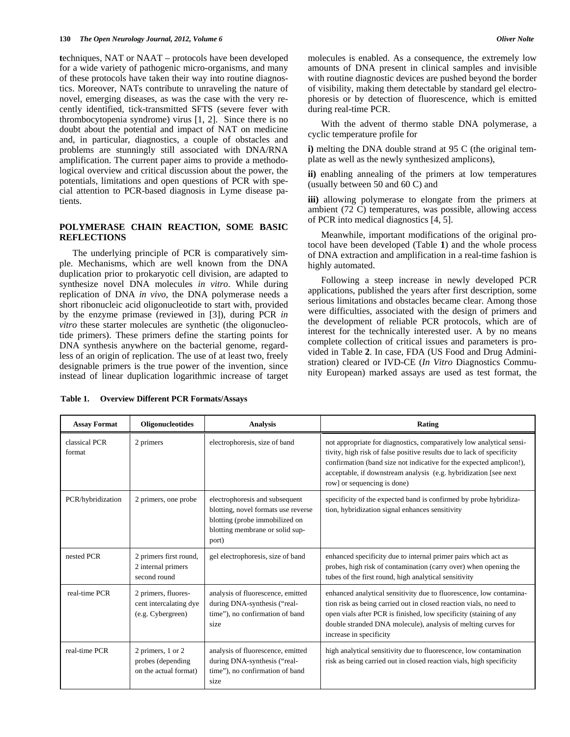**t**echniques, NAT or NAAT – protocols have been developed for a wide variety of pathogenic micro-organisms, and many of these protocols have taken their way into routine diagnostics. Moreover, NATs contribute to unraveling the nature of novel, emerging diseases, as was the case with the very recently identified, tick-transmitted SFTS (severe fever with thrombocytopenia syndrome) virus [1, 2]. Since there is no doubt about the potential and impact of NAT on medicine and, in particular, diagnostics, a couple of obstacles and problems are stunningly still associated with DNA/RNA amplification. The current paper aims to provide a methodological overview and critical discussion about the power, the potentials, limitations and open questions of PCR with special attention to PCR-based diagnosis in Lyme disease patients.

# **POLYMERASE CHAIN REACTION, SOME BASIC REFLECTIONS**

 The underlying principle of PCR is comparatively simple. Mechanisms, which are well known from the DNA duplication prior to prokaryotic cell division, are adapted to synthesize novel DNA molecules *in vitro*. While during replication of DNA *in vivo*, the DNA polymerase needs a short ribonucleic acid oligonucleotide to start with, provided by the enzyme primase (reviewed in [3]), during PCR *in vitro* these starter molecules are synthetic (the oligonucleotide primers). These primers define the starting points for DNA synthesis anywhere on the bacterial genome, regardless of an origin of replication. The use of at least two, freely designable primers is the true power of the invention, since instead of linear duplication logarithmic increase of target molecules is enabled. As a consequence, the extremely low amounts of DNA present in clinical samples and invisible with routine diagnostic devices are pushed beyond the border of visibility, making them detectable by standard gel electrophoresis or by detection of fluorescence, which is emitted during real-time PCR.

 With the advent of thermo stable DNA polymerase, a cyclic temperature profile for

**i)** melting the DNA double strand at 95 C (the original template as well as the newly synthesized amplicons),

**ii)** enabling annealing of the primers at low temperatures (usually between 50 and 60 C) and

**iii)** allowing polymerase to elongate from the primers at ambient (72 C) temperatures, was possible, allowing access of PCR into medical diagnostics [4, 5].

 Meanwhile, important modifications of the original protocol have been developed [\(Table](#page-1-0) **1**) and the whole process of DNA extraction and amplification in a real-time fashion is highly automated.

 Following a steep increase in newly developed PCR applications, published the years after first description, some serious limitations and obstacles became clear. Among those were difficulties, associated with the design of primers and the development of reliable PCR protocols, which are of interest for the technically interested user. A by no means complete collection of critical issues and parameters is provided in Table **2**. In case, FDA (US Food and Drug Administration) cleared or IVD-CE (*In Vitro* Diagnostics Community European) marked assays are used as test format, the

| <b>Assay Format</b>     | Oligonucleotides                                                   | <b>Analysis</b>                                                                                                                                     | Rating                                                                                                                                                                                                                                                                                                                   |
|-------------------------|--------------------------------------------------------------------|-----------------------------------------------------------------------------------------------------------------------------------------------------|--------------------------------------------------------------------------------------------------------------------------------------------------------------------------------------------------------------------------------------------------------------------------------------------------------------------------|
| classical PCR<br>format | 2 primers                                                          | electrophoresis, size of band                                                                                                                       | not appropriate for diagnostics, comparatively low analytical sensi-<br>tivity, high risk of false positive results due to lack of specificity<br>confirmation (band size not indicative for the expected amplicon!),<br>acceptable, if downstream analysis (e.g. hybridization [see next<br>row] or sequencing is done) |
| PCR/hybridization       | 2 primers, one probe                                               | electrophoresis and subsequent<br>blotting, novel formats use reverse<br>blotting (probe immobilized on<br>blotting membrane or solid sup-<br>port) | specificity of the expected band is confirmed by probe hybridiza-<br>tion, hybridization signal enhances sensitivity                                                                                                                                                                                                     |
| nested PCR              | 2 primers first round,<br>2 internal primers<br>second round       | gel electrophoresis, size of band                                                                                                                   | enhanced specificity due to internal primer pairs which act as<br>probes, high risk of contamination (carry over) when opening the<br>tubes of the first round, high analytical sensitivity                                                                                                                              |
| real-time PCR           | 2 primers, fluores-<br>cent intercalating dye<br>(e.g. Cybergreen) | analysis of fluorescence, emitted<br>during DNA-synthesis ("real-<br>time"), no confirmation of band<br>size                                        | enhanced analytical sensitivity due to fluorescence, low contamina-<br>tion risk as being carried out in closed reaction vials, no need to<br>open vials after PCR is finished, low specificity (staining of any<br>double stranded DNA molecule), analysis of melting curves for<br>increase in specificity             |
| real-time PCR           | 2 primers, 1 or 2<br>probes (depending<br>on the actual format)    | analysis of fluorescence, emitted<br>during DNA-synthesis ("real-<br>time"), no confirmation of band<br>size                                        | high analytical sensitivity due to fluorescence, low contamination<br>risk as being carried out in closed reaction vials, high specificity                                                                                                                                                                               |

<span id="page-1-0"></span>**Table 1. Overview Different PCR Formats/Assays**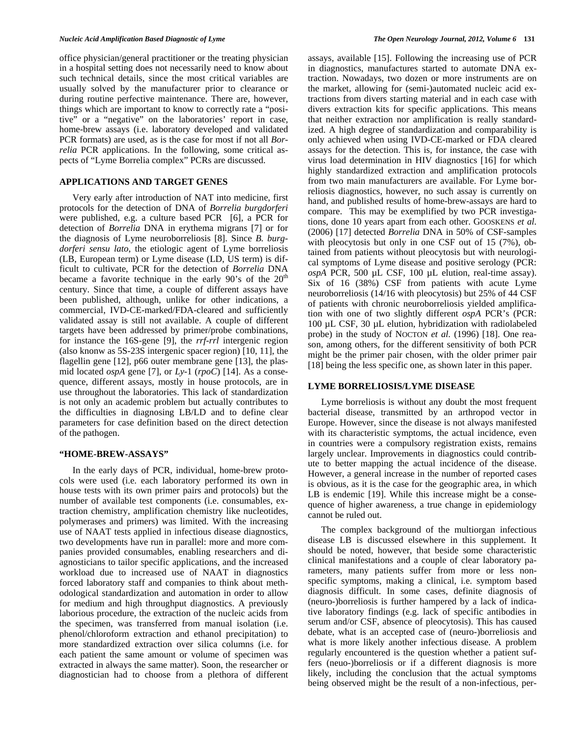#### *Nucleic Acid Amplification Based Diagnostic of Lyme The Open Neurology Journal, 2012, Volume 6* **131**

office physician/general practitioner or the treating physician in a hospital setting does not necessarily need to know about such technical details, since the most critical variables are usually solved by the manufacturer prior to clearance or during routine perfective maintenance. There are, however, things which are important to know to correctly rate a "positive" or a "negative" on the laboratories' report in case, home-brew assays (i.e. laboratory developed and validated PCR formats) are used, as is the case for most if not all *Borrelia* PCR applications. In the following, some critical aspects of "Lyme Borrelia complex" PCRs are discussed.

# **APPLICATIONS AND TARGET GENES**

 Very early after introduction of NAT into medicine, first protocols for the detection of DNA of *Borrelia burgdorferi* were published, e.g. a culture based PCR [6], a PCR for detection of *Borrelia* DNA in erythema migrans [7] or for the diagnosis of Lyme neuroborreliosis [8]. Since *B. burgdorferi sensu lato*, the etiologic agent of Lyme borreliosis (LB, European term) or Lyme disease (LD, US term) is difficult to cultivate, PCR for the detection of *Borrelia* DNA became a favorite technique in the early  $90$ 's of the  $20<sup>th</sup>$ century. Since that time, a couple of different assays have been published, although, unlike for other indications, a commercial, IVD-CE-marked/FDA-cleared and sufficiently validated assay is still not available. A couple of different targets have been addressed by primer/probe combinations, for instance the 16S-gene [9], the *rrf*-*rrl* intergenic region (also knonw as 5S-23S intergenic spacer region) [10, 11], the flagellin gene [12], p66 outer membrane gene [13], the plasmid located *ospA* gene [7], or *Ly*-1 (*rpoC*) [14]. As a consequence, different assays, mostly in house protocols, are in use throughout the laboratories. This lack of standardization is not only an academic problem but actually contributes to the difficulties in diagnosing LB/LD and to define clear parameters for case definition based on the direct detection of the pathogen.

## **"HOME-BREW-ASSAYS"**

 In the early days of PCR, individual, home-brew protocols were used (i.e. each laboratory performed its own in house tests with its own primer pairs and protocols) but the number of available test components (i.e. consumables, extraction chemistry, amplification chemistry like nucleotides, polymerases and primers) was limited. With the increasing use of NAAT tests applied in infectious disease diagnostics, two developments have run in parallel: more and more companies provided consumables, enabling researchers and diagnosticians to tailor specific applications, and the increased workload due to increased use of NAAT in diagnostics forced laboratory staff and companies to think about methodological standardization and automation in order to allow for medium and high throughput diagnostics. A previously laborious procedure, the extraction of the nucleic acids from the specimen, was transferred from manual isolation (i.e. phenol/chloroform extraction and ethanol precipitation) to more standardized extraction over silica columns (i.e. for each patient the same amount or volume of specimen was extracted in always the same matter). Soon, the researcher or diagnostician had to choose from a plethora of different assays, available [15]. Following the increasing use of PCR in diagnostics, manufactures started to automate DNA extraction. Nowadays, two dozen or more instruments are on the market, allowing for (semi-)automated nucleic acid extractions from divers starting material and in each case with divers extraction kits for specific applications. This means that neither extraction nor amplification is really standardized. A high degree of standardization and comparability is only achieved when using IVD-CE-marked or FDA cleared assays for the detection. This is, for instance, the case with virus load determination in HIV diagnostics [16] for which highly standardized extraction and amplification protocols from two main manufacturers are available. For Lyme borreliosis diagnostics, however, no such assay is currently on hand, and published results of home-brew-assays are hard to compare. This may be exemplified by two PCR investigations, done 10 years apart from each other. GOOSKENS *et al.* (2006) [17] detected *Borrelia* DNA in 50% of CSF-samples with pleocytosis but only in one CSF out of 15 (7%), obtained from patients without pleocytosis but with neurological symptoms of Lyme disease and positive serology (PCR: *ospA* PCR, 500 µL CSF, 100 µL elution, real-time assay). Six of 16 (38%) CSF from patients with acute Lyme neuroborreliosis (14/16 with pleocytosis) but 25% of 44 CSF of patients with chronic neuroborreliosis yielded amplification with one of two slightly different *ospA* PCR's (PCR: 100 µL CSF, 30 µL elution, hybridization with radiolabeled probe) in the study of NOCTON *et al.* (1996) [18]. One reason, among others, for the different sensitivity of both PCR might be the primer pair chosen, with the older primer pair [18] being the less specific one, as shown later in this paper.

## **LYME BORRELIOSIS/LYME DISEASE**

 Lyme borreliosis is without any doubt the most frequent bacterial disease, transmitted by an arthropod vector in Europe. However, since the disease is not always manifested with its characteristic symptoms, the actual incidence, even in countries were a compulsory registration exists, remains largely unclear. Improvements in diagnostics could contribute to better mapping the actual incidence of the disease. However, a general increase in the number of reported cases is obvious, as it is the case for the geographic area, in which LB is endemic [19]. While this increase might be a consequence of higher awareness, a true change in epidemiology cannot be ruled out.

 The complex background of the multiorgan infectious disease LB is discussed elsewhere in this supplement. It should be noted, however, that beside some characteristic clinical manifestations and a couple of clear laboratory parameters, many patients suffer from more or less nonspecific symptoms, making a clinical, i.e. symptom based diagnosis difficult. In some cases, definite diagnosis of (neuro-)borreliosis is further hampered by a lack of indicative laboratory findings (e.g. lack of specific antibodies in serum and/or CSF, absence of pleocytosis). This has caused debate, what is an accepted case of (neuro-)borreliosis and what is more likely another infectious disease. A problem regularly encountered is the question whether a patient suffers (neuo-)borreliosis or if a different diagnosis is more likely, including the conclusion that the actual symptoms being observed might be the result of a non-infectious, per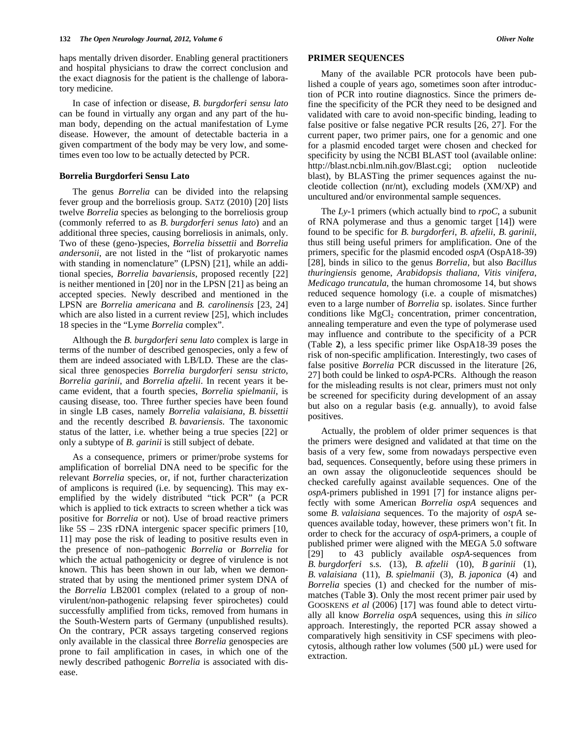haps mentally driven disorder. Enabling general practitioners and hospital physicians to draw the correct conclusion and the exact diagnosis for the patient is the challenge of laboratory medicine.

 In case of infection or disease, *B. burgdorferi sensu lato* can be found in virtually any organ and any part of the human body, depending on the actual manifestation of Lyme disease. However, the amount of detectable bacteria in a given compartment of the body may be very low, and sometimes even too low to be actually detected by PCR.

#### **Borrelia Burgdorferi Sensu Lato**

 The genus *Borrelia* can be divided into the relapsing fever group and the borreliosis group. SATZ (2010) [20] lists twelve *Borrelia* species as belonging to the borreliosis group (commonly referred to as *B. burgdorferi senus lato*) and an additional three species, causing borreliosis in animals, only. Two of these (geno-)species, *Borrelia bissettii* and *Borrelia andersonii*, are not listed in the "list of prokaryotic names with standing in nomenclature" (LPSN) [21], while an additional species, *Borrelia bavariensis*, proposed recently [22] is neither mentioned in [20] nor in the LPSN [21] as being an accepted species. Newly described and mentioned in the LPSN are *Borrelia americana* and *B. carolinensis* [23, 24] which are also listed in a current review [25], which includes 18 species in the "Lyme *Borrelia* complex".

 Although the *B. burgdorferi senu lato* complex is large in terms of the number of described genospecies, only a few of them are indeed associated with LB/LD. These are the classical three genospecies *Borrelia burgdorferi sensu stricto*, *Borrelia garinii*, and *Borrelia afzelii*. In recent years it became evident, that a fourth species, *Borrelia spielmanii*, is causing disease, too. Three further species have been found in single LB cases, namely *Borrelia valaisiana*, *B. bissettii* and the recently described *B. bavariensis*. The taxonomic status of the latter, i.e. whether being a true species [22] or only a subtype of *B. garinii* is still subject of debate.

As a consequence, primers or primer/probe systems for amplification of borrelial DNA need to be specific for the relevant *Borrelia* species, or, if not, further characterization of amplicons is required (i.e. by sequencing). This may exemplified by the widely distributed "tick PCR" (a PCR which is applied to tick extracts to screen whether a tick was positive for *Borrelia* or not). Use of broad reactive primers like  $5S - 23S$  rDNA intergenic spacer specific primers [10, 11] may pose the risk of leading to positive results even in the presence of non–pathogenic *Borrelia* or *Borrelia* for which the actual pathogenicity or degree of virulence is not known. This has been shown in our lab, when we demonstrated that by using the mentioned primer system DNA of the *Borrelia* LB2001 complex (related to a group of nonvirulent/non-pathogenic relapsing fever spirochetes) could successfully amplified from ticks, removed from humans in the South-Western parts of Germany (unpublished results). On the contrary, PCR assays targeting conserved regions only available in the classical three *Borrelia* genospecies are prone to fail amplification in cases, in which one of the newly described pathogenic *Borrelia* is associated with disease.

## **PRIMER SEQUENCES**

 Many of the available PCR protocols have been published a couple of years ago, sometimes soon after introduction of PCR into routine diagnostics. Since the primers define the specificity of the PCR they need to be designed and validated with care to avoid non-specific binding, leading to false positive or false negative PCR results [26, 27]. For the current paper, two primer pairs, one for a genomic and one for a plasmid encoded target were chosen and checked for specificity by using the NCBI BLAST tool (available online: http://blast.ncbi.nlm.nih.gov/Blast.cgi; option nucleotide blast), by BLASTing the primer sequences against the nucleotide collection (nr/nt), excluding models (XM/XP) and uncultured and/or environmental sample sequences.

 The *Ly*-1 primers (which actually bind to *rpoC*, a subunit of RNA polymerase and thus a genomic target [14]) were found to be specific for *B. burgdorferi*, *B. afzelii*, *B. garinii*, thus still being useful primers for amplification. One of the primers, specific for the plasmid encoded *ospA* (OspA18-39) [28], binds in silico to the genus *Borrelia*, but also *Bacillus thuringiensis* genome, *Arabidopsis thaliana*, *Vitis vinifera*, *Medicago truncatula*, the human chromosome 14, but shows reduced sequence homology (i.e. a couple of mismatches) even to a large number of *Borrelia* sp. isolates. Since further conditions like  $MgCl<sub>2</sub>$  concentration, primer concentration, annealing temperature and even the type of polymerase used may influence and contribute to the specificity of a PCR (Table **2**), a less specific primer like OspA18-39 poses the risk of non-specific amplification. Interestingly, two cases of false positive *Borrelia* PCR discussed in the literature [26, 27] both could be linked to *ospA*-PCRs. Although the reason for the misleading results is not clear, primers must not only be screened for specificity during development of an assay but also on a regular basis (e.g. annually), to avoid false positives.

 Actually, the problem of older primer sequences is that the primers were designed and validated at that time on the basis of a very few, some from nowadays perspective even bad, sequences. Consequently, before using these primers in an own assay the oligonucleotide sequences should be checked carefully against available sequences. One of the *ospA*-primers published in 1991 [7] for instance aligns perfectly with some American *Borrelia ospA* sequences and some *B. valaisiana* sequences. To the majority of *ospA* sequences available today, however, these primers won't fit. In order to check for the accuracy of *ospA*-primers, a couple of published primer were aligned with the MEGA 5.0 software [29] to 43 publicly available *ospA*-sequences from *B. burgdorferi* s.s. (13), *B. afzelii* (10), *B garinii* (1), *B. valaisiana* (11), *B. spielmanii* (3), *B. japonica* (4) and *Borrelia* species (1) and checked for the number of mismatches (Table **3**). Only the most recent primer pair used by GOOSKENS *et al* (2006) [17] was found able to detect virtually all know *Borrelia ospA* sequences, using this *in silico* approach. Interestingly, the reported PCR assay showed a comparatively high sensitivity in CSF specimens with pleocytosis, although rather low volumes (500 µL) were used for extraction.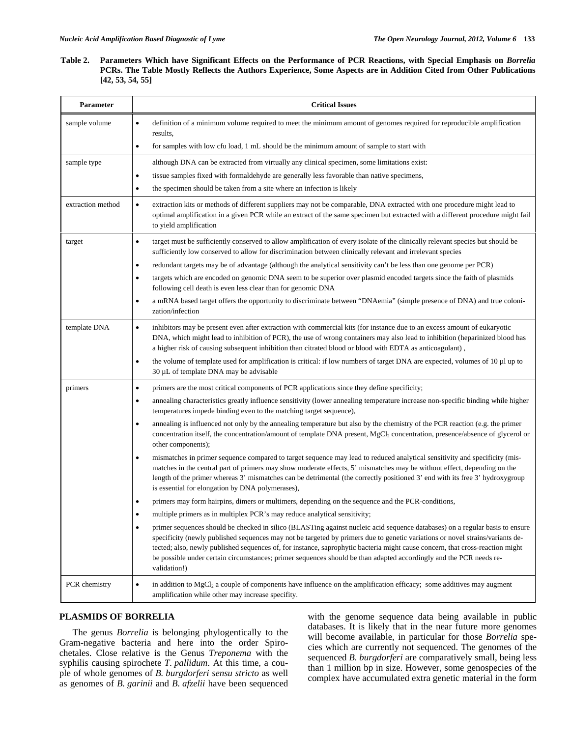# **Table 2. Parameters Which have Significant Effects on the Performance of PCR Reactions, with Special Emphasis on** *Borrelia* **PCRs. The Table Mostly Reflects the Authors Experience, Some Aspects are in Addition Cited from Other Publications [42, 53, 54, 55]**

| Parameter         | <b>Critical Issues</b>                                                                                                                                                                                                                                                                                                                                                                                                                                                                                                                            |  |  |  |
|-------------------|---------------------------------------------------------------------------------------------------------------------------------------------------------------------------------------------------------------------------------------------------------------------------------------------------------------------------------------------------------------------------------------------------------------------------------------------------------------------------------------------------------------------------------------------------|--|--|--|
| sample volume     | definition of a minimum volume required to meet the minimum amount of genomes required for reproducible amplification<br>٠<br>results,                                                                                                                                                                                                                                                                                                                                                                                                            |  |  |  |
|                   | for samples with low cfu load, 1 mL should be the minimum amount of sample to start with<br>$\bullet$                                                                                                                                                                                                                                                                                                                                                                                                                                             |  |  |  |
| sample type       | although DNA can be extracted from virtually any clinical specimen, some limitations exist:                                                                                                                                                                                                                                                                                                                                                                                                                                                       |  |  |  |
|                   | tissue samples fixed with formaldehyde are generally less favorable than native specimens,<br>$\bullet$                                                                                                                                                                                                                                                                                                                                                                                                                                           |  |  |  |
|                   | the specimen should be taken from a site where an infection is likely<br>$\bullet$                                                                                                                                                                                                                                                                                                                                                                                                                                                                |  |  |  |
| extraction method | extraction kits or methods of different suppliers may not be comparable, DNA extracted with one procedure might lead to<br>$\bullet$<br>optimal amplification in a given PCR while an extract of the same specimen but extracted with a different procedure might fail<br>to yield amplification                                                                                                                                                                                                                                                  |  |  |  |
| target            | target must be sufficiently conserved to allow amplification of every isolate of the clinically relevant species but should be<br>٠<br>sufficiently low conserved to allow for discrimination between clinically relevant and irrelevant species                                                                                                                                                                                                                                                                                                  |  |  |  |
|                   | redundant targets may be of advantage (although the analytical sensitivity can't be less than one genome per PCR)<br>$\bullet$                                                                                                                                                                                                                                                                                                                                                                                                                    |  |  |  |
|                   | targets which are encoded on genomic DNA seem to be superior over plasmid encoded targets since the faith of plasmids<br>$\bullet$<br>following cell death is even less clear than for genomic DNA                                                                                                                                                                                                                                                                                                                                                |  |  |  |
|                   | a mRNA based target offers the opportunity to discriminate between "DNAemia" (simple presence of DNA) and true coloni-<br>$\bullet$<br>zation/infection                                                                                                                                                                                                                                                                                                                                                                                           |  |  |  |
| template DNA      | inhibitors may be present even after extraction with commercial kits (for instance due to an excess amount of eukaryotic<br>$\bullet$<br>DNA, which might lead to inhibition of PCR), the use of wrong containers may also lead to inhibition (heparinized blood has<br>a higher risk of causing subsequent inhibition than citrated blood or blood with EDTA as anticoagulant),                                                                                                                                                                  |  |  |  |
|                   | the volume of template used for amplification is critical: if low numbers of target DNA are expected, volumes of 10 µl up to<br>$\bullet$<br>$30 \mu L$ of template DNA may be advisable                                                                                                                                                                                                                                                                                                                                                          |  |  |  |
| primers           | primers are the most critical components of PCR applications since they define specificity;<br>$\bullet$                                                                                                                                                                                                                                                                                                                                                                                                                                          |  |  |  |
|                   | annealing characteristics greatly influence sensitivity (lower annealing temperature increase non-specific binding while higher<br>$\bullet$<br>temperatures impede binding even to the matching target sequence),                                                                                                                                                                                                                                                                                                                                |  |  |  |
|                   | annealing is influenced not only by the annealing temperature but also by the chemistry of the PCR reaction (e.g. the primer<br>$\bullet$<br>concentration itself, the concentration/amount of template DNA present, MgCl <sub>2</sub> concentration, presence/absence of glycerol or<br>other components);                                                                                                                                                                                                                                       |  |  |  |
|                   | mismatches in primer sequence compared to target sequence may lead to reduced analytical sensitivity and specificity (mis-<br>$\bullet$<br>matches in the central part of primers may show moderate effects, 5' mismatches may be without effect, depending on the<br>length of the primer whereas 3' mismatches can be detrimental (the correctly positioned 3' end with its free 3' hydroxygroup<br>is essential for elongation by DNA polymerases),                                                                                            |  |  |  |
|                   | primers may form hairpins, dimers or multimers, depending on the sequence and the PCR-conditions,<br>٠                                                                                                                                                                                                                                                                                                                                                                                                                                            |  |  |  |
|                   | multiple primers as in multiplex PCR's may reduce analytical sensitivity;                                                                                                                                                                                                                                                                                                                                                                                                                                                                         |  |  |  |
|                   | primer sequences should be checked in silico (BLASTing against nucleic acid sequence databases) on a regular basis to ensure<br>$\bullet$<br>specificity (newly published sequences may not be targeted by primers due to genetic variations or novel strains/variants de-<br>tected; also, newly published sequences of, for instance, saprophytic bacteria might cause concern, that cross-reaction might<br>be possible under certain circumstances; primer sequences should be than adapted accordingly and the PCR needs re-<br>validation!) |  |  |  |
| PCR chemistry     | in addition to $MgCl2$ a couple of components have influence on the amplification efficacy; some additives may augment<br>$\bullet$<br>amplification while other may increase specifity.                                                                                                                                                                                                                                                                                                                                                          |  |  |  |

# **PLASMIDS OF BORRELIA**

 The genus *Borrelia* is belonging phylogentically to the Gram-negative bacteria and here into the order Spirochetales. Close relative is the Genus *Treponema* with the syphilis causing spirochete *T. pallidum*. At this time, a couple of whole genomes of *B. burgdorferi sensu stricto* as well as genomes of *B. garinii* and *B. afzelii* have been sequenced with the genome sequence data being available in public databases. It is likely that in the near future more genomes will become available, in particular for those *Borrelia* species which are currently not sequenced. The genomes of the sequenced *B. burgdorferi* are comparatively small, being less than 1 million bp in size. However, some genospecies of the complex have accumulated extra genetic material in the form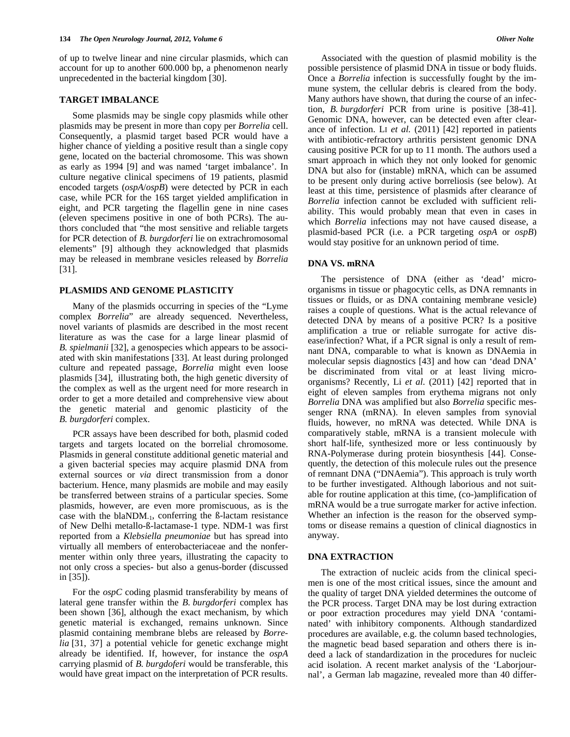of up to twelve linear and nine circular plasmids, which can account for up to another 600.000 bp, a phenomenon nearly unprecedented in the bacterial kingdom [30].

## **TARGET IMBALANCE**

 Some plasmids may be single copy plasmids while other plasmids may be present in more than copy per *Borrelia* cell. Consequently, a plasmid target based PCR would have a higher chance of yielding a positive result than a single copy gene, located on the bacterial chromosome. This was shown as early as 1994 [9] and was named 'target imbalance'. In culture negative clinical specimens of 19 patients, plasmid encoded targets (*ospA*/*ospB*) were detected by PCR in each case, while PCR for the 16S target yielded amplification in eight, and PCR targeting the flagellin gene in nine cases (eleven specimens positive in one of both PCRs). The authors concluded that "the most sensitive and reliable targets for PCR detection of *B. burgdorferi* lie on extrachromosomal elements" [9] although they acknowledged that plasmids may be released in membrane vesicles released by *Borrelia* [31].

# **PLASMIDS AND GENOME PLASTICITY**

 Many of the plasmids occurring in species of the "Lyme complex *Borrelia*" are already sequenced. Nevertheless, novel variants of plasmids are described in the most recent literature as was the case for a large linear plasmid of *B. spielmanii* [32], a genospecies which appears to be associated with skin manifestations [33]. At least during prolonged culture and repeated passage, *Borrelia* might even loose plasmids [34], illustrating both, the high genetic diversity of the complex as well as the urgent need for more research in order to get a more detailed and comprehensive view about the genetic material and genomic plasticity of the *B. burgdorferi* complex.

 PCR assays have been described for both, plasmid coded targets and targets located on the borrelial chromosome. Plasmids in general constitute additional genetic material and a given bacterial species may acquire plasmid DNA from external sources or *via* direct transmission from a donor bacterium. Hence, many plasmids are mobile and may easily be transferred between strains of a particular species. Some plasmids, however, are even more promiscuous, as is the case with the  $blaNDM_{-1}$ , conferring the ß-lactam resistance of New Delhi metallo-ß-lactamase-1 type. NDM-1 was first reported from a *Klebsiella pneumoniae* but has spread into virtually all members of enterobacteriaceae and the nonfermenter within only three years, illustrating the capacity to not only cross a species- but also a genus-border (discussed in [35]).

 For the *ospC* coding plasmid transferability by means of lateral gene transfer within the *B. burgdorferi* complex has been shown [36], although the exact mechanism, by which genetic material is exchanged, remains unknown. Since plasmid containing membrane blebs are released by *Borrelia* [31, 37] a potential vehicle for genetic exchange might already be identified. If, however, for instance the *ospA* carrying plasmid of *B. burgdoferi* would be transferable, this would have great impact on the interpretation of PCR results.

 Associated with the question of plasmid mobility is the possible persistence of plasmid DNA in tissue or body fluids. Once a *Borrelia* infection is successfully fought by the immune system, the cellular debris is cleared from the body. Many authors have shown, that during the course of an infection, *B. burgdorferi* PCR from urine is positive [38-41]. Genomic DNA, however, can be detected even after clearance of infection. LI *et al.* (2011) [42] reported in patients with antibiotic-refractory arthritis persistent genomic DNA causing positive PCR for up to 11 month. The authors used a smart approach in which they not only looked for genomic DNA but also for (instable) mRNA, which can be assumed to be present only during active borreliosis (see below). At least at this time, persistence of plasmids after clearance of *Borrelia* infection cannot be excluded with sufficient reliability. This would probably mean that even in cases in which *Borrelia* infections may not have caused disease, a plasmid-based PCR (i.e. a PCR targeting *ospA* or *ospB*) would stay positive for an unknown period of time.

## **DNA VS. mRNA**

 The persistence of DNA (either as 'dead' microorganisms in tissue or phagocytic cells, as DNA remnants in tissues or fluids, or as DNA containing membrane vesicle) raises a couple of questions. What is the actual relevance of detected DNA by means of a positive PCR? Is a positive amplification a true or reliable surrogate for active disease/infection? What, if a PCR signal is only a result of remnant DNA, comparable to what is known as DNAemia in molecular sepsis diagnostics [43] and how can 'dead DNA' be discriminated from vital or at least living microorganisms? Recently, Li *et al.* (2011) [42] reported that in eight of eleven samples from erythema migrans not only *Borrelia* DNA was amplified but also *Borrelia* specific messenger RNA (mRNA). In eleven samples from synovial fluids, however, no mRNA was detected. While DNA is comparatively stable, mRNA is a transient molecule with short half-life, synthesized more or less continuously by RNA-Polymerase during protein biosynthesis [44]. Consequently, the detection of this molecule rules out the presence of remnant DNA ("DNAemia"). This approach is truly worth to be further investigated. Although laborious and not suitable for routine application at this time, (co-)amplification of mRNA would be a true surrogate marker for active infection. Whether an infection is the reason for the observed symptoms or disease remains a question of clinical diagnostics in anyway.

## **DNA EXTRACTION**

 The extraction of nucleic acids from the clinical specimen is one of the most critical issues, since the amount and the quality of target DNA yielded determines the outcome of the PCR process. Target DNA may be lost during extraction or poor extraction procedures may yield DNA 'contaminated' with inhibitory components. Although standardized procedures are available, e.g. the column based technologies, the magnetic bead based separation and others there is indeed a lack of standardization in the procedures for nucleic acid isolation. A recent market analysis of the 'Laborjournal', a German lab magazine, revealed more than 40 differ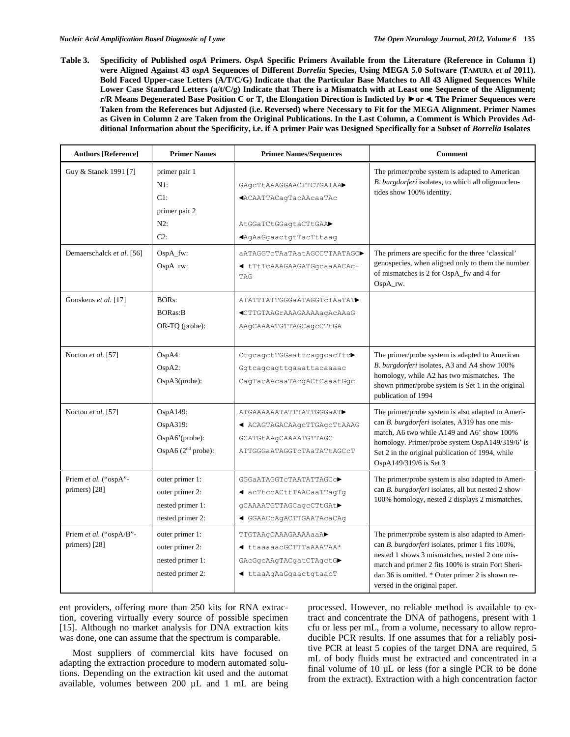**Table 3. Specificity of Published** *ospA* **Primers.** *OspA* **Specific Primers Available from the Literature (Reference in Column 1) were Aligned Against 43** *ospA* **Sequences of Different** *Borrelia* **Species, Using MEGA 5.0 Software (TAMURA** *et al* **2011). Bold Faced Upper-case Letters (A/T/C/G) Indicate that the Particular Base Matches to All 43 Aligned Sequences While Lower Case Standard Letters (a/t/C/g) Indicate that There is a Mismatch with at Least one Sequence of the Alignment; r/R Means Degenerated Base Position C or T, the Elongation Direction is Indicted by ►or ◄. The Primer Sequences were Taken from the References but Adjusted (i.e. Reversed) where Necessary to Fit for the MEGA Alignment. Primer Names as Given in Column 2 are Taken from the Original Publications. In the Last Column, a Comment is Which Provides Additional Information about the Specificity, i.e. if A primer Pair was Designed Specifically for a Subset of** *Borrelia* **Isolates** 

| <b>Authors [Reference]</b>               | <b>Primer Names</b>                                                        | <b>Primer Names/Sequences</b>                                                                                      | <b>Comment</b>                                                                                                                                                                                                                                                                                     |
|------------------------------------------|----------------------------------------------------------------------------|--------------------------------------------------------------------------------------------------------------------|----------------------------------------------------------------------------------------------------------------------------------------------------------------------------------------------------------------------------------------------------------------------------------------------------|
| Guy & Stanek 1991 [7]                    | primer pair 1<br>$N1$ :<br>C1:<br>primer pair 2<br>$N2$ :<br>$C2$ :        | GAGCTtAAAGGAACTTCTGATAA<br><b>«ACAATTACagTacAAcaaTAc</b><br>AtGGaTCtGGagtaCTtGAA▶<br><b>A</b> qAaGqaactqtTacTttaaq | The primer/probe system is adapted to American<br>B. burgdorferi isolates, to which all oligonucleo-<br>tides show 100% identity.                                                                                                                                                                  |
| Demaerschalck et al. [56]                | OspA_fw:<br>$OspA_{IV}:$                                                   | aATAGGTcTAaTAatAGCCTTAATAGC▶<br>◀ tTtTcAAAGAAGATGgcaaAACAc-<br>TAG                                                 | The primers are specific for the three 'classical'<br>genospecies, when aligned only to them the number<br>of mismatches is 2 for OspA_fw and 4 for<br>OspA_rw.                                                                                                                                    |
| Gooskens et al. [17]                     | <b>BORs:</b><br><b>BORas:B</b><br>OR-TQ (probe):                           | ATATTTATTGGGaATAGGTcTAaTAT<br>◀CTTGTAAGrAAAGAAAAaqAcAAaG<br>AAqCAAAATGTTAGCaqcCTtGA                                |                                                                                                                                                                                                                                                                                                    |
| Nocton et al. [57]                       | OspA4:<br>OspA2:<br>$OspA3(probe)$ :                                       | CtgcagctTGGaattcaggcacTtc▶<br>Ggtcagcagttgaaattacaaaac<br>CagTacAAcaaTAcgACtCaaatGgc                               | The primer/probe system is adapted to American<br>B. burgdorferi isolates, A3 and A4 show 100%<br>homology, while A2 has two mismatches. The<br>shown primer/probe system is Set 1 in the original<br>publication of 1994                                                                          |
| Nocton et al. [57]                       | OspA149:<br>OspA319:<br>OspA6'(probe):<br>OspA6 $(2nd$ probe):             | ATGAAAAAATATTTATTGGGaAT<br>◀ ACAGTAGACAAgcTTGAgcTtAAAG<br>GCATGtAAqCAAAATGTTAGC<br>ATTGGGAATAGGTCTAaTATtAGCCT      | The primer/probe system is also adapted to Ameri-<br>can B. burgdorferi isolates, A319 has one mis-<br>match, A6 two while A149 and A6' show 100%<br>homology. Primer/probe system OspA149/319/6' is<br>Set 2 in the original publication of 1994, while<br>OspA149/319/6 is Set 3                 |
| Priem et al. ("ospA"-<br>primers) [28]   | outer primer 1:<br>outer primer 2:<br>nested primer 1:<br>nested primer 2: | GGGaATAGGTcTAATATTAGCc▶<br>◀ acTtccACttTAACaaTTagTq<br>gCAAAATGTTAGCagcCTtGAt▶<br>◀ GGAACcAqACTTGAATAcaCAq         | The primer/probe system is also adapted to Ameri-<br>can B. burgdorferi isolates, all but nested 2 show<br>100% homology, nested 2 displays 2 mismatches.                                                                                                                                          |
| Priem et al. ("ospA/B"-<br>primers) [28] | outer primer 1:<br>outer primer 2:<br>nested primer 1:<br>nested primer 2: | TTGTAAgCAAAGAAAAaaA<br>◀ ttaaaaacGCTTTaAAATAA*<br>GAcGgcAAgTACgatCTAgctG▶<br>◀ ttaaAgAaGgaactgtaacT                | The primer/probe system is also adapted to Ameri-<br>can B. burgdorferi isolates, primer 1 fits 100%,<br>nested 1 shows 3 mismatches, nested 2 one mis-<br>match and primer 2 fits 100% is strain Fort Sheri-<br>dan 36 is omitted. * Outer primer 2 is shown re-<br>versed in the original paper. |

ent providers, offering more than 250 kits for RNA extraction, covering virtually every source of possible specimen [15]. Although no market analysis for DNA extraction kits was done, one can assume that the spectrum is comparable.

 Most suppliers of commercial kits have focused on adapting the extraction procedure to modern automated solutions. Depending on the extraction kit used and the automat available, volumes between 200 µL and 1 mL are being processed. However, no reliable method is available to extract and concentrate the DNA of pathogens, present with 1 cfu or less per mL, from a volume, necessary to allow reproducible PCR results. If one assumes that for a reliably positive PCR at least 5 copies of the target DNA are required, 5 mL of body fluids must be extracted and concentrated in a final volume of 10 µL or less (for a single PCR to be done from the extract). Extraction with a high concentration factor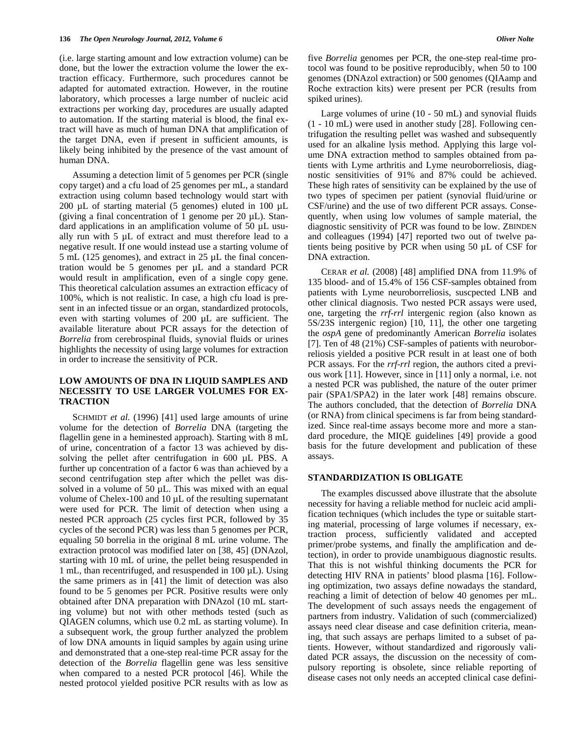(i.e. large starting amount and low extraction volume) can be done, but the lower the extraction volume the lower the extraction efficacy. Furthermore, such procedures cannot be adapted for automated extraction. However, in the routine laboratory, which processes a large number of nucleic acid extractions per working day, procedures are usually adapted to automation. If the starting material is blood, the final extract will have as much of human DNA that amplification of the target DNA, even if present in sufficient amounts, is likely being inhibited by the presence of the vast amount of human DNA.

 Assuming a detection limit of 5 genomes per PCR (single copy target) and a cfu load of 25 genomes per mL, a standard extraction using column based technology would start with 200 µL of starting material (5 genomes) eluted in 100 µL (giving a final concentration of 1 genome per  $20 \mu L$ ). Standard applications in an amplification volume of 50 µL usually run with 5 µL of extract and must therefore lead to a negative result. If one would instead use a starting volume of 5 mL (125 genomes), and extract in 25 µL the final concentration would be 5 genomes per µL and a standard PCR would result in amplification, even of a single copy gene. This theoretical calculation assumes an extraction efficacy of 100%, which is not realistic. In case, a high cfu load is present in an infected tissue or an organ, standardized protocols, even with starting volumes of 200 µL are sufficient. The available literature about PCR assays for the detection of *Borrelia* from cerebrospinal fluids, synovial fluids or urines highlights the necessity of using large volumes for extraction in order to increase the sensitivity of PCR.

# **LOW AMOUNTS OF DNA IN LIQUID SAMPLES AND NECESSITY TO USE LARGER VOLUMES FOR EX-TRACTION**

SCHMIDT *et al.* (1996) [41] used large amounts of urine volume for the detection of *Borrelia* DNA (targeting the flagellin gene in a heminested approach). Starting with 8 mL of urine, concentration of a factor 13 was achieved by dissolving the pellet after centrifugation in 600 µL PBS. A further up concentration of a factor 6 was than achieved by a second centrifugation step after which the pellet was dissolved in a volume of 50  $\mu$ L. This was mixed with an equal volume of Chelex-100 and 10  $\mu$ L of the resulting supernatant were used for PCR. The limit of detection when using a nested PCR approach (25 cycles first PCR, followed by 35 cycles of the second PCR) was less than 5 genomes per PCR, equaling 50 borrelia in the original 8 mL urine volume. The extraction protocol was modified later on [38, 45] (DNAzol, starting with 10 mL of urine, the pellet being resuspended in 1 mL, than recentrifuged, and resuspended in 100 µL). Using the same primers as in [41] the limit of detection was also found to be 5 genomes per PCR. Positive results were only obtained after DNA preparation with DNAzol (10 mL starting volume) but not with other methods tested (such as QIAGEN columns, which use 0.2 mL as starting volume). In a subsequent work, the group further analyzed the problem of low DNA amounts in liquid samples by again using urine and demonstrated that a one-step real-time PCR assay for the detection of the *Borrelia* flagellin gene was less sensitive when compared to a nested PCR protocol [46]. While the nested protocol yielded positive PCR results with as low as five *Borrelia* genomes per PCR, the one-step real-time protocol was found to be positive reproducibly, when 50 to 100 genomes (DNAzol extraction) or 500 genomes (QIAamp and Roche extraction kits) were present per PCR (results from spiked urines).

 Large volumes of urine (10 - 50 mL) and synovial fluids (1 - 10 mL) were used in another study [28]. Following centrifugation the resulting pellet was washed and subsequently used for an alkaline lysis method. Applying this large volume DNA extraction method to samples obtained from patients with Lyme arthritis and Lyme neuroborreliosis, diagnostic sensitivities of 91% and 87% could be achieved. These high rates of sensitivity can be explained by the use of two types of specimen per patient (synovial fluid/urine or CSF/urine) and the use of two different PCR assays. Consequently, when using low volumes of sample material, the diagnostic sensitivity of PCR was found to be low. ZBINDEN and colleagues (1994) [47] reported two out of twelve patients being positive by PCR when using 50 µL of CSF for DNA extraction.

 CERAR *et al.* (2008) [48] amplified DNA from 11.9% of 135 blood- and of 15.4% of 156 CSF-samples obtained from patients with Lyme neuroborreliosis, suscpected LNB and other clinical diagnosis. Two nested PCR assays were used, one, targeting the *rrf*-*rrl* intergenic region (also known as 5S/23S intergenic region) [10, 11], the other one targeting the *ospA* gene of predominantly American *Borrelia* isolates [7]. Ten of 48 (21%) CSF-samples of patients with neuroborreliosis yielded a positive PCR result in at least one of both PCR assays. For the *rrf*-*rrl* region, the authors cited a previous work [11]. However, since in [11] only a normal, i.e. not a nested PCR was published, the nature of the outer primer pair (SPA1/SPA2) in the later work [48] remains obscure. The authors concluded, that the detection of *Borrelia* DNA (or RNA) from clinical specimens is far from being standardized. Since real-time assays become more and more a standard procedure, the MIQE guidelines [49] provide a good basis for the future development and publication of these assays.

## **STANDARDIZATION IS OBLIGATE**

 The examples discussed above illustrate that the absolute necessity for having a reliable method for nucleic acid amplification techniques (which includes the type or suitable starting material, processing of large volumes if necessary, extraction process, sufficiently validated and accepted primer/probe systems, and finally the amplification and detection), in order to provide unambiguous diagnostic results. That this is not wishful thinking documents the PCR for detecting HIV RNA in patients' blood plasma [16]. Following optimization, two assays define nowadays the standard, reaching a limit of detection of below 40 genomes per mL. The development of such assays needs the engagement of partners from industry. Validation of such (commercialized) assays need clear disease and case definition criteria, meaning, that such assays are perhaps limited to a subset of patients. However, without standardized and rigorously validated PCR assays, the discussion on the necessity of compulsory reporting is obsolete, since reliable reporting of disease cases not only needs an accepted clinical case defini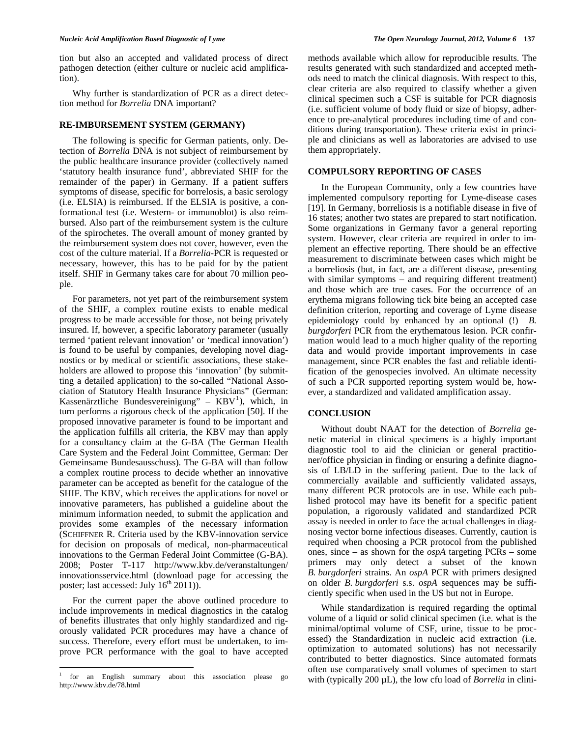tion but also an accepted and validated process of direct pathogen detection (either culture or nucleic acid amplification).

 Why further is standardization of PCR as a direct detection method for *Borrelia* DNA important?

## **RE-IMBURSEMENT SYSTEM (GERMANY)**

 The following is specific for German patients, only. Detection of *Borrelia* DNA is not subject of reimbursement by the public healthcare insurance provider (collectively named 'statutory health insurance fund', abbreviated SHIF for the remainder of the paper) in Germany. If a patient suffers symptoms of disease, specific for borrelosis, a basic serology (i.e. ELSIA) is reimbursed. If the ELSIA is positive, a conformational test (i.e. Western- or immunoblot) is also reimbursed. Also part of the reimbursement system is the culture of the spirochetes. The overall amount of money granted by the reimbursement system does not cover, however, even the cost of the culture material. If a *Borrelia*-PCR is requested or necessary, however, this has to be paid for by the patient itself. SHIF in Germany takes care for about 70 million people.

 For parameters, not yet part of the reimbursement system of the SHIF, a complex routine exists to enable medical progress to be made accessible for those, not being privately insured. If, however, a specific laboratory parameter (usually termed 'patient relevant innovation' or 'medical innovation') is found to be useful by companies, developing novel diagnostics or by medical or scientific associations, these stakeholders are allowed to propose this 'innovation' (by submitting a detailed application) to the so-called "National Association of Statutory Health Insurance Physicians" (German: Kassenärztliche Bundesvereinigung" –  $KBV<sup>1</sup>$  $KBV<sup>1</sup>$  $KBV<sup>1</sup>$ ), which, in turn performs a rigorous check of the application [50]. If the proposed innovative parameter is found to be important and the application fulfills all criteria, the KBV may than apply for a consultancy claim at the G-BA (The German Health Care System and the Federal Joint Committee, German: Der Gemeinsame Bundesausschuss). The G-BA will than follow a complex routine process to decide whether an innovative parameter can be accepted as benefit for the catalogue of the SHIF. The KBV, which receives the applications for novel or innovative parameters, has published a guideline about the minimum information needed, to submit the application and provides some examples of the necessary information (SCHIFFNER R. Criteria used by the KBV-innovation service for decision on proposals of medical, non-pharmaceutical innovations to the German Federal Joint Committee (G-BA). 2008; Poster T-117 http://www.kbv.de/veranstaltungen/ innovationsservice.html (download page for accessing the poster; last accessed: July  $16^{th}$  2011)).

 For the current paper the above outlined procedure to include improvements in medical diagnostics in the catalog of benefits illustrates that only highly standardized and rigorously validated PCR procedures may have a chance of success. Therefore, every effort must be undertaken, to improve PCR performance with the goal to have accepted

methods available which allow for reproducible results. The results generated with such standardized and accepted methods need to match the clinical diagnosis. With respect to this, clear criteria are also required to classify whether a given clinical specimen such a CSF is suitable for PCR diagnosis (i.e. sufficient volume of body fluid or size of biopsy, adherence to pre-analytical procedures including time of and conditions during transportation). These criteria exist in principle and clinicians as well as laboratories are advised to use them appropriately.

## **COMPULSORY REPORTING OF CASES**

 In the European Community, only a few countries have implemented compulsory reporting for Lyme-disease cases [19]. In Germany, borreliosis is a notifiable disease in five of 16 states; another two states are prepared to start notification. Some organizations in Germany favor a general reporting system. However, clear criteria are required in order to implement an effective reporting. There should be an effective measurement to discriminate between cases which might be a borreliosis (but, in fact, are a different disease, presenting with similar symptoms – and requiring different treatment) and those which are true cases. For the occurrence of an erythema migrans following tick bite being an accepted case definition criterion, reporting and coverage of Lyme disease epidemiology could by enhanced by an optional (!) *B. burgdorferi* PCR from the erythematous lesion. PCR confirmation would lead to a much higher quality of the reporting data and would provide important improvements in case management, since PCR enables the fast and reliable identification of the genospecies involved. An ultimate necessity of such a PCR supported reporting system would be, however, a standardized and validated amplification assay.

## **CONCLUSION**

 Without doubt NAAT for the detection of *Borrelia* genetic material in clinical specimens is a highly important diagnostic tool to aid the clinician or general practitioner/office physician in finding or ensuring a definite diagnosis of LB/LD in the suffering patient. Due to the lack of commercially available and sufficiently validated assays, many different PCR protocols are in use. While each published protocol may have its benefit for a specific patient population, a rigorously validated and standardized PCR assay is needed in order to face the actual challenges in diagnosing vector borne infectious diseases. Currently, caution is required when choosing a PCR protocol from the published ones, since – as shown for the *ospA* targeting PCRs – some primers may only detect a subset of the known *B. burgdorferi* strains. An *ospA* PCR with primers designed on older *B. burgdorferi* s.s. *ospA* sequences may be sufficiently specific when used in the US but not in Europe.

 While standardization is required regarding the optimal volume of a liquid or solid clinical specimen (i.e. what is the minimal/optimal volume of CSF, urine, tissue to be processed) the Standardization in nucleic acid extraction (i.e. optimization to automated solutions) has not necessarily contributed to better diagnostics. Since automated formats often use comparatively small volumes of specimen to start with (typically 200  $\mu$ L), the low cfu load of *Borrelia* in clini-

<span id="page-8-0"></span><sup>&</sup>lt;sup>1</sup> for an English summary about this association please go http://www.kbv.de/78.html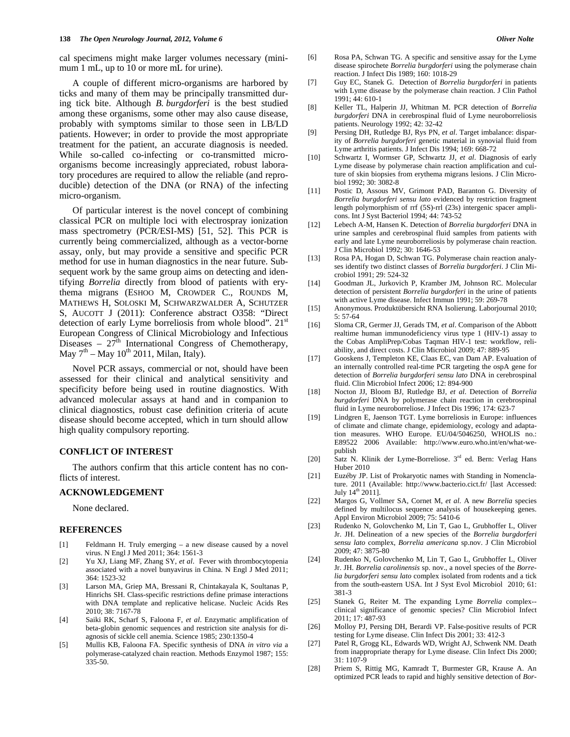cal specimens might make larger volumes necessary (minimum 1 mL, up to 10 or more mL for urine).

 A couple of different micro-organisms are harbored by ticks and many of them may be principally transmitted during tick bite. Although *B. burgdorferi* is the best studied among these organisms, some other may also cause disease, probably with symptoms similar to those seen in LB/LD patients. However; in order to provide the most appropriate treatment for the patient, an accurate diagnosis is needed. While so-called co-infecting or co-transmitted microorganisms become increasingly appreciated, robust laboratory procedures are required to allow the reliable (and reproducible) detection of the DNA (or RNA) of the infecting micro-organism.

 Of particular interest is the novel concept of combining classical PCR on multiple loci with electrospray ionization mass spectrometry (PCR/ESI-MS) [51, 52]. This PCR is currently being commercialized, although as a vector-borne assay, only, but may provide a sensitive and specific PCR method for use in human diagnostics in the near future. Subsequent work by the same group aims on detecting and identifying *Borrelia* directly from blood of patients with erythema migrans (ESHOO M, CROWDER C., ROUNDS M, MATHEWS H, SOLOSKI M, SCHWARZWALDER A, SCHUTZER S, AUCOTT J (2011): Conference abstract O358: "Direct detection of early Lyme borreliosis from whole blood". 21<sup>st</sup> European Congress of Clinical Microbiology and Infectious Diseases –  $27<sup>th</sup>$  International Congress of Chemotherapy, May  $7<sup>th</sup> - May 10<sup>th</sup> 2011$ , Milan, Italy).

 Novel PCR assays, commercial or not, should have been assessed for their clinical and analytical sensitivity and specificity before being used in routine diagnostics. With advanced molecular assays at hand and in companion to clinical diagnostics, robust case definition criteria of acute disease should become accepted, which in turn should allow high quality compulsory reporting.

# **CONFLICT OF INTEREST**

 The authors confirm that this article content has no conflicts of interest.

#### **ACKNOWLEDGEMENT**

None declared.

#### **REFERENCES**

- [1] Feldmann H. Truly emerging a new disease caused by a novel virus. N Engl J Med 2011; 364: 1561-3
- [2] Yu XJ, Liang MF, Zhang SY, *et al*. Fever with thrombocytopenia associated with a novel bunyavirus in China. N Engl J Med 2011; 364: 1523-32
- [3] Larson MA, Griep MA, Bressani R, Chintakayala K, Soultanas P, Hinrichs SH. Class-specific restrictions define primase interactions with DNA template and replicative helicase. Nucleic Acids Res 2010; 38: 7167-78
- [4] Saiki RK, Scharf S, Faloona F, *et al*. Enzymatic amplification of beta-globin genomic sequences and restriction site analysis for diagnosis of sickle cell anemia. Science 1985; 230:1350-4
- [5] Mullis KB, Faloona FA. Specific synthesis of DNA *in vitro via* a polymerase-catalyzed chain reaction. Methods Enzymol 1987; 155: 335-50.
- [6] Rosa PA, Schwan TG. A specific and sensitive assay for the Lyme disease spirochete *Borrelia burgdorferi* using the polymerase chain reaction. J Infect Dis 1989; 160: 1018-29
- [7] Guy EC, Stanek G. Detection of *Borrelia burgdorferi* in patients with Lyme disease by the polymerase chain reaction. J Clin Pathol 1991; 44: 610-1
- [8] Keller TL, Halperin JJ, Whitman M. PCR detection of *Borrelia burgdorferi* DNA in cerebrospinal fluid of Lyme neuroborreliosis patients. Neurology 1992; 42: 32-42
- [9] Persing DH, Rutledge BJ, Rys PN, *et al*. Target imbalance: disparity of *Borrelia burgdorferi* genetic material in synovial fluid from Lyme arthritis patients. J Infect Dis 1994; 169: 668-72
- [10] Schwartz I, Wormser GP, Schwartz JJ, *et al*. Diagnosis of early Lyme disease by polymerase chain reaction amplification and culture of skin biopsies from erythema migrans lesions. J Clin Microbiol 1992; 30: 3082-8
- [11] Postic D, Assous MV, Grimont PAD, Baranton G. Diversity of *Borrelia burgdorferi sensu lato* evidenced by restriction fragment length polymorphism of rrf (5S)-rrl (23s) intergenic spacer amplicons. Int J Syst Bacteriol 1994; 44: 743-52
- [12] Lebech A-M, Hansen K. Detection of *Borrelia burgdorferi* DNA in urine samples and cerebrospinal fluid samples from patients with early and late Lyme neuroborreliosis by polymerase chain reaction. J Clin Microbiol 1992; 30: 1646-53
- [13] Rosa PA, Hogan D, Schwan TG. Polymerase chain reaction analyses identify two distinct classes of *Borrelia burgdorferi*. J Clin Microbiol 1991; 29: 524-32
- [14] Goodman JL, Jurkovich P, Kramber JM, Johnson RC. Molecular detection of persistent *Borrelia burgdorferi* in the urine of patients with active Lyme disease. Infect Immun 1991; 59: 269-78
- [15] Anonymous. Produktübersicht RNA Isolierung. Laborjournal 2010; 5: 57-64
- [16] Sloma CR, Germer JJ, Gerads TM, *et al*. Comparison of the Abbott realtime human immunodeficiency virus type 1 (HIV-1) assay to the Cobas AmpliPrep/Cobas Taqman HIV-1 test: workflow, reliability, and direct costs. J Clin Microbiol 2009; 47: 889-95
- [17] Gooskens J, Templeton KE, Claas EC, van Dam AP. Evaluation of an internally controlled real-time PCR targeting the ospA gene for detection of *Borrelia burgdorferi sensu lato* DNA in cerebrospinal fluid. Clin Microbiol Infect 2006; 12: 894-900
- [18] Nocton JJ, Bloom BJ, Rutledge BJ, *et al*. Detection of *Borrelia burgdorferi* DNA by polymerase chain reaction in cerebrospinal fluid in Lyme neuroborreliose. J Infect Dis 1996; 174: 623-7
- [19] Lindgren E, Jaenson TGT. Lyme borreliosis in Europe: influences of climate and climate change, epidemiology, ecology and adaptation measures. WHO Europe. EU/04/5046250, WHOLIS no.: E89522 2006 Available: http://www.euro.who.int/en/what-wepublish
- [20] Satz N. Klinik der Lyme-Borreliose. 3<sup>rd</sup> ed. Bern: Verlag Hans Huber 2010
- [21] Euzéby JP. List of Prokaryotic names with Standing in Nomenclature. 2011 (Available: http://www.bacterio.cict.fr/ [last Accessed: July  $14^{\text{th}}$  2011].
- [22] Margos G, Vollmer SA, Cornet M, *et al*. A new *Borrelia* species defined by multilocus sequence analysis of housekeeping genes. Appl Environ Microbiol 2009; 75: 5410-6
- [23] Rudenko N, Golovchenko M, Lin T, Gao L, Grubhoffer L, Oliver Jr. JH. Delineation of a new species of the *Borrelia burgdorferi sensu lato* complex, *Borrelia americana* sp.nov. J Clin Microbiol 2009; 47: 3875-80
- [24] Rudenko N, Golovchenko M, Lin T, Gao L, Grubhoffer L, Oliver Jr. JH. *Borrelia carolinensis* sp. nov., a novel species of the *Borrelia burgdorferi sensu lato* complex isolated from rodents and a tick from the south-eastern USA. Int J Syst Evol Microbiol 2010; 61: 381-3
- [25] Stanek G, Reiter M. The expanding Lyme *Borrelia* complex- clinical significance of genomic species? Clin Microbiol Infect 2011; 17: 487-93
- [26] Molloy PJ, Persing DH, Berardi VP. False-positive results of PCR testing for Lyme disease. Clin Infect Dis 2001; 33: 412-3
- [27] Patel R, Grogg KL, Edwards WD, Wright AJ, Schwenk NM. Death from inappropriate therapy for Lyme disease. Clin Infect Dis 2000; 31: 1107-9
- [28] Priem S, Rittig MG, Kamradt T, Burmester GR, Krause A. An optimized PCR leads to rapid and highly sensitive detection of *Bor-*